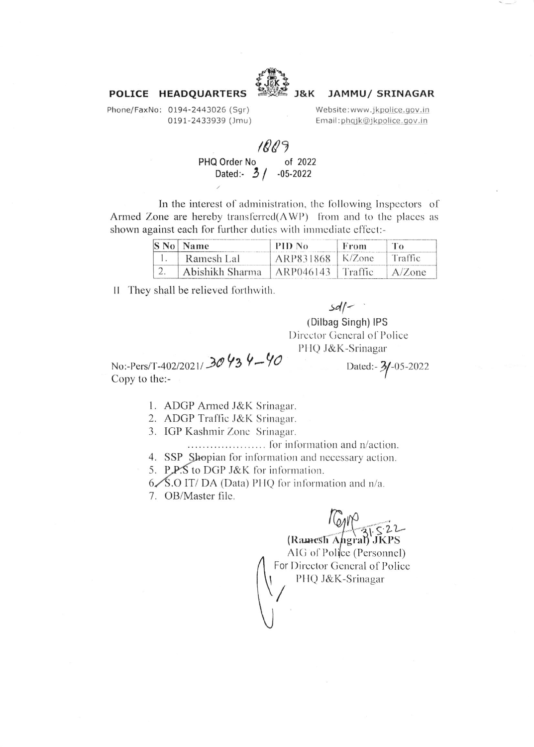

#### **J&K JAMMU/ SRINAGAR**

Phone/FaxNo: 0194-2443026 (Sqr) 0191-2433939 (Jmu)

POLICE HEADQUARTERS

Website:www.jkpolice.gov.in Email:phqjk@jkpolice.gov.in

# 1809

PHQ Order No of 2022 Dated:  $3/$  $-05 - 2022$ 

In the interest of administration, the following Inspectors of Armed Zone are hereby transferred (AWP) from and to the places as shown against each for further duties with immediate effect:-

| S No Name                             | PID No               | From | To        |
|---------------------------------------|----------------------|------|-----------|
| Ramesh Lal                            | $ARP831868$   K/Zone |      | Traffic   |
| Abishikh Sharma   ARP046143   Traffic |                      |      | $A/Z$ one |

II They shall be relieved forthwith.

## $sdf$

(Dilbag Singh) IPS

Director General of Police PHQ J&K-Srinagar

No:-Pers/T-402/2021/30434-40 Copy to the:-

Dated:- 3/-05-2022

1. ADGP Armed J&K Srinagar.

2. ADGP Traffic J&K Srinagar.

3. IGP Kashmir Zone Srinagar.

4. SSP Shopian for information and necessary action.

5. P.P.S to DGP J&K for information.

 $6\diagup 8.0$  IT/DA (Data) PHQ for information and n/a.

7. OB/Master file.

 $\sqrt{\frac{6M}{9}}$ <br>(Ramesh Angral) JKPS

AIG of Police (Personnel) For Director General of Police PHQ J&K-Srinagar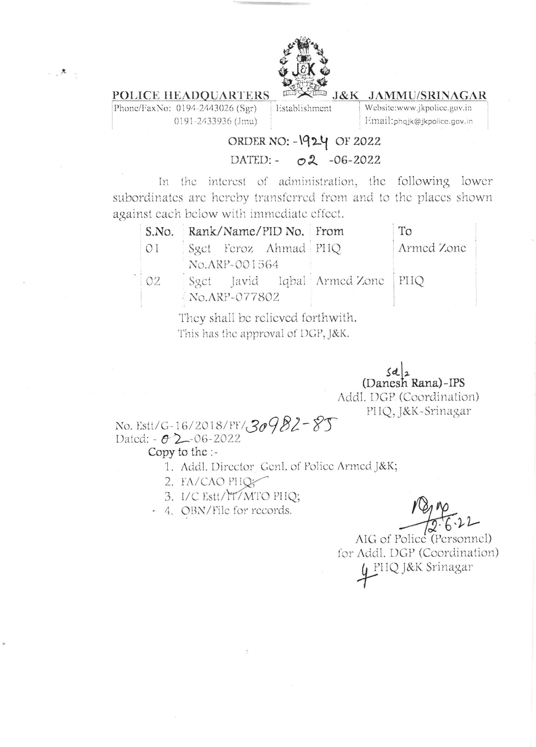

### POLICE HEADQUARTERS

Phone/FaxNo: 0194-2443026 (Sgr) 0191-2433936 (Jmu) Establishment

J&K JAMMU/SRINAGAR Website:www.jkpolice.gov.in

Email:phqjk@jkpolice.gov.in

# ORDER NO: - 1924 OF 2022

# DATED: - 02 -06-2022

In the interest of administration, the following lower subordinates are hereby transferred from and to the places shown against each below with immediate effect.

|    | S.No. Rank/Name/PID No. From         | To         |
|----|--------------------------------------|------------|
| 01 | Sgct Feroz Ahmad PHQ                 | Armed Zone |
|    | No.ARP-001564                        |            |
| O2 | Sgct Javid Iqbal Armed Zone   PHQ    |            |
|    | $N_{\rm O} \Lambda_{\rm RP}$ -077802 |            |
|    | Townshall leavalianad fautowith      |            |

They shall be relieved forthwith. This has the approval of DGP, J&K.

> $\frac{\mathcal{S}d}{2}$ (Danesh Rana)-IPS Addl. DGP (Coordination) PHQ, J&K-Srinagar

No. Estt/G-16/2018/PF/30982-85 Dated:  $-02 - 06 - 2022$ 

#### Copy to the :-

- 1. Addl. Director Genl. of Police Armed J&K;
- 2. FA/CAO PHQ5
- 3. I/C Estt/IT/MTO PHQ;
- 4. OBN/File for records.

AIG of Police (Personnel) for Addl. DGP (Coordination) PHQ J&K Srinagar

 $\mathcal{A}^{\mathcal{A}}_{\mathcal{A}} = \mathcal{A}^{\mathcal{B}}_{\mathcal{A}^{\mathcal{B}}_{\mathcal{A}} \mathcal{A}^{\mathcal{B}}_{\mathcal{A}} \mathcal{A}^{\mathcal{B}}_{\mathcal{A}^{\mathcal{B}}_{\mathcal{A}} \mathcal{A}^{\mathcal{B}}_{\mathcal{A}^{\mathcal{B}}_{\mathcal{A}} \mathcal{A}^{\mathcal{B}}_{\mathcal{A}^{\mathcal{B}}_{\mathcal{A}} \mathcal{A}^{\mathcal{B}}_{\mathcal{A}^{\mathcal{B}}_{\mathcal{A}^{\mathcal{B}}_{\$